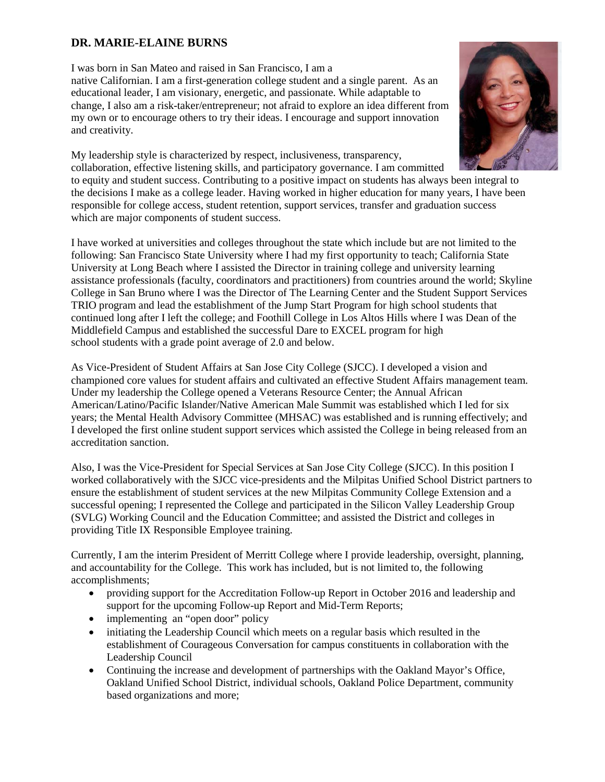## **DR. MARIE-ELAINE BURNS**

I was born in San Mateo and raised in San Francisco, I am a native Californian. I am a first-generation college student and a single parent. As an educational leader, I am visionary, energetic, and passionate. While adaptable to change, I also am a risk-taker/entrepreneur; not afraid to explore an idea different from my own or to encourage others to try their ideas. I encourage and support innovation and creativity.



My leadership style is characterized by respect, inclusiveness, transparency, collaboration, effective listening skills, and participatory governance. I am committed to equity and student success. Contributing to a positive impact on students has always been integral to the decisions I make as a college leader. Having worked in higher education for many years, I have been responsible for college access, student retention, support services, transfer and graduation success which are major components of student success.

I have worked at universities and colleges throughout the state which include but are not limited to the following: San Francisco State University where I had my first opportunity to teach; California State University at Long Beach where I assisted the Director in training college and university learning assistance professionals (faculty, coordinators and practitioners) from countries around the world; Skyline College in San Bruno where I was the Director of The Learning Center and the Student Support Services TRIO program and lead the establishment of the Jump Start Program for high school students that continued long after I left the college; and Foothill College in Los Altos Hills where I was Dean of the Middlefield Campus and established the successful Dare to EXCEL program for high school students with a grade point average of 2.0 and below.

As Vice-President of Student Affairs at San Jose City College (SJCC). I developed a vision and championed core values for student affairs and cultivated an effective Student Affairs management team. Under my leadership the College opened a Veterans Resource Center; the Annual African American/Latino/Pacific Islander/Native American Male Summit was established which I led for six years; the Mental Health Advisory Committee (MHSAC) was established and is running effectively; and I developed the first online student support services which assisted the College in being released from an accreditation sanction.

Also, I was the Vice-President for Special Services at San Jose City College (SJCC). In this position I worked collaboratively with the SJCC vice-presidents and the Milpitas Unified School District partners to ensure the establishment of student services at the new Milpitas Community College Extension and a successful opening; I represented the College and participated in the Silicon Valley Leadership Group (SVLG) Working Council and the Education Committee; and assisted the District and colleges in providing Title IX Responsible Employee training.

Currently, I am the interim President of Merritt College where I provide leadership, oversight, planning, and accountability for the College. This work has included, but is not limited to, the following accomplishments;

- providing support for the Accreditation Follow-up Report in October 2016 and leadership and support for the upcoming Follow-up Report and Mid-Term Reports;
- implementing an "open door" policy
- initiating the Leadership Council which meets on a regular basis which resulted in the establishment of Courageous Conversation for campus constituents in collaboration with the Leadership Council
- Continuing the increase and development of partnerships with the Oakland Mayor's Office, Oakland Unified School District, individual schools, Oakland Police Department, community based organizations and more;